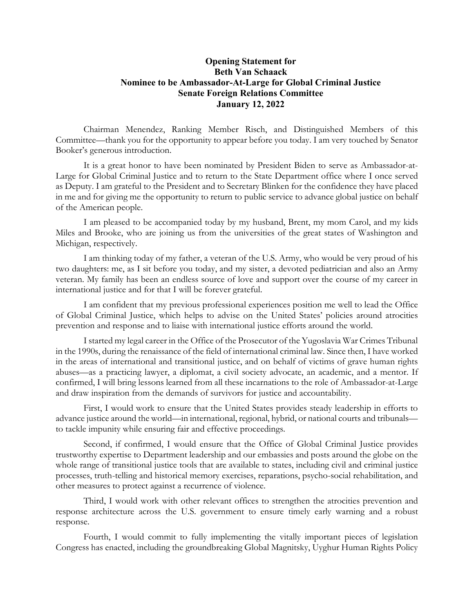## **Opening Statement for Beth Van Schaack Nominee to be Ambassador-At-Large for Global Criminal Justice Senate Foreign Relations Committee January 12, 2022**

Chairman Menendez, Ranking Member Risch, and Distinguished Members of this Committee—thank you for the opportunity to appear before you today. I am very touched by Senator Booker's generous introduction.

It is a great honor to have been nominated by President Biden to serve as Ambassador-at-Large for Global Criminal Justice and to return to the State Department office where I once served as Deputy. I am grateful to the President and to Secretary Blinken for the confidence they have placed in me and for giving me the opportunity to return to public service to advance global justice on behalf of the American people.

I am pleased to be accompanied today by my husband, Brent, my mom Carol, and my kids Miles and Brooke, who are joining us from the universities of the great states of Washington and Michigan, respectively.

I am thinking today of my father, a veteran of the U.S. Army, who would be very proud of his two daughters: me, as I sit before you today, and my sister, a devoted pediatrician and also an Army veteran. My family has been an endless source of love and support over the course of my career in international justice and for that I will be forever grateful.

I am confident that my previous professional experiences position me well to lead the Office of Global Criminal Justice, which helps to advise on the United States' policies around atrocities prevention and response and to liaise with international justice efforts around the world.

I started my legal career in the Office of the Prosecutor of the Yugoslavia War Crimes Tribunal in the 1990s, during the renaissance of the field of international criminal law. Since then, I have worked in the areas of international and transitional justice, and on behalf of victims of grave human rights abuses—as a practicing lawyer, a diplomat, a civil society advocate, an academic, and a mentor. If confirmed, I will bring lessons learned from all these incarnations to the role of Ambassador-at-Large and draw inspiration from the demands of survivors for justice and accountability.

First, I would work to ensure that the United States provides steady leadership in efforts to advance justice around the world—in international, regional, hybrid, or national courts and tribunals to tackle impunity while ensuring fair and effective proceedings.

Second, if confirmed, I would ensure that the Office of Global Criminal Justice provides trustworthy expertise to Department leadership and our embassies and posts around the globe on the whole range of transitional justice tools that are available to states, including civil and criminal justice processes, truth-telling and historical memory exercises, reparations, psycho-social rehabilitation, and other measures to protect against a recurrence of violence.

Third, I would work with other relevant offices to strengthen the atrocities prevention and response architecture across the U.S. government to ensure timely early warning and a robust response.

Fourth, I would commit to fully implementing the vitally important pieces of legislation Congress has enacted, including the groundbreaking Global Magnitsky, Uyghur Human Rights Policy